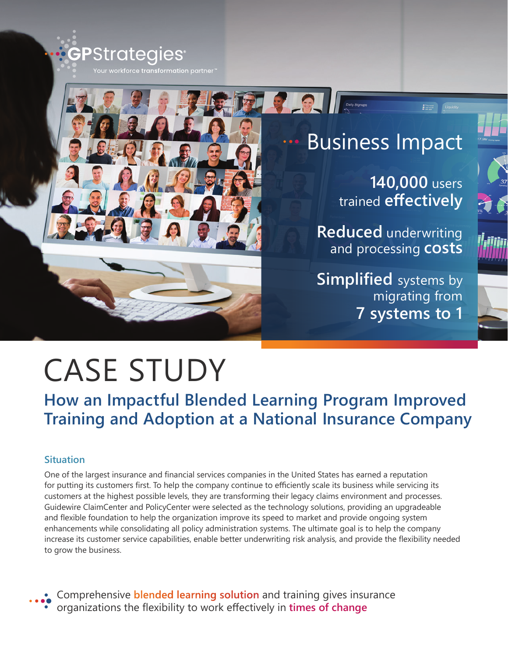

# Business Impact

**140,000** users trained **effectively**

Liquidity

**Reduced** underwriting and processing **costs**

**Simplified** systems by migrating from **7 systems to 1**



# CASE STUDY

**How an Impactful Blended Learning Program Improved Training and Adoption at a National Insurance Company**

## **Situation**

One of the largest insurance and financial services companies in the United States has earned a reputation for putting its customers first. To help the company continue to efficiently scale its business while servicing its customers at the highest possible levels, they are transforming their legacy claims environment and processes. Guidewire ClaimCenter and PolicyCenter were selected as the technology solutions, providing an upgradeable and flexible foundation to help the organization improve its speed to market and provide ongoing system enhancements while consolidating all policy administration systems. The ultimate goal is to help the company increase its customer service capabilities, enable better underwriting risk analysis, and provide the flexibility needed to grow the business.

Comprehensive **blended learning solution** and training gives insurance organizations the flexibility to work effectively in **times of change**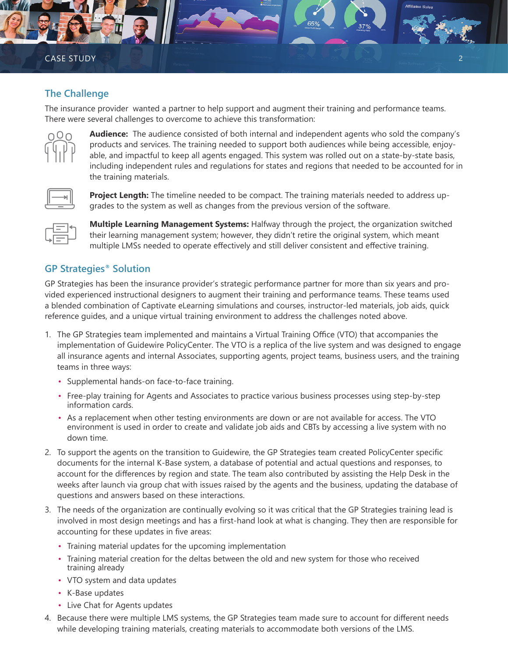#### **The Challenge**

The insurance provider wanted a partner to help support and augment their training and performance teams. There were several challenges to overcome to achieve this transformation:



**Audience:** The audience consisted of both internal and independent agents who sold the company's products and services. The training needed to support both audiences while being accessible, enjoyable, and impactful to keep all agents engaged. This system was rolled out on a state-by-state basis, including independent rules and regulations for states and regions that needed to be accounted for in the training materials.

Affiliates S



**Project Length:** The timeline needed to be compact. The training materials needed to address upgrades to the system as well as changes from the previous version of the software.



**Multiple Learning Management Systems:** Halfway through the project, the organization switched their learning management system; however, they didn't retire the original system, which meant multiple LMSs needed to operate effectively and still deliver consistent and effective training.

### **GP Strategies® Solution**

GP Strategies has been the insurance provider's strategic performance partner for more than six years and provided experienced instructional designers to augment their training and performance teams. These teams used a blended combination of Captivate eLearning simulations and courses, instructor-led materials, job aids, quick reference guides, and a unique virtual training environment to address the challenges noted above.

- 1. The GP Strategies team implemented and maintains a Virtual Training Office (VTO) that accompanies the implementation of Guidewire PolicyCenter. The VTO is a replica of the live system and was designed to engage all insurance agents and internal Associates, supporting agents, project teams, business users, and the training teams in three ways:
	- Supplemental hands-on face-to-face training.
	- Free-play training for Agents and Associates to practice various business processes using step-by-step information cards.
	- As a replacement when other testing environments are down or are not available for access. The VTO environment is used in order to create and validate job aids and CBTs by accessing a live system with no down time.
- 2. To support the agents on the transition to Guidewire, the GP Strategies team created PolicyCenter specific documents for the internal K-Base system, a database of potential and actual questions and responses, to account for the differences by region and state. The team also contributed by assisting the Help Desk in the weeks after launch via group chat with issues raised by the agents and the business, updating the database of questions and answers based on these interactions.
- 3. The needs of the organization are continually evolving so it was critical that the GP Strategies training lead is involved in most design meetings and has a first-hand look at what is changing. They then are responsible for accounting for these updates in five areas:
	- Training material updates for the upcoming implementation
	- Training material creation for the deltas between the old and new system for those who received training already
	- VTO system and data updates
	- K-Base updates
	- Live Chat for Agents updates
- 4. Because there were multiple LMS systems, the GP Strategies team made sure to account for different needs while developing training materials, creating materials to accommodate both versions of the LMS.